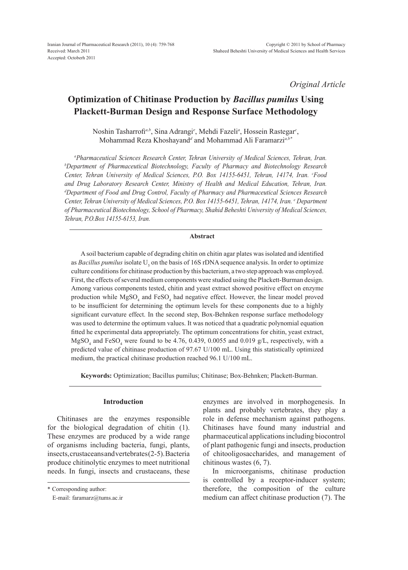*Original Article*

# **Optimization of Chitinase Production by** *Bacillus pumilus* **Using Plackett-Burman Design and Response Surface Methodology**

Noshin Tasharrofi<sup>*a,b*</sup>, Sina Adrangi<sup>e</sup>, Mehdi Fazeli<sup>a</sup>, Hossein Rastegar<sup>c</sup>, Mohammad Reza Khoshayand*<sup>d</sup>* and Mohammad Ali Faramarzi*a,b\**

*a Pharmaceutical Sciences Research Center, Tehran University of Medical Sciences, Tehran, Iran. b* <sup>*b*</sup>Department of Pharmaceutical Biotechnology, Faculty of Pharmacy and Biotechnology Research *Center, Tehran University of Medical Sciences, P.O. Box 14155-6451, Tehran, 14174, Iran. c Food and Drug Laboratory Research Center, Ministry of Health and Medical Education, Tehran, Iran. d Department of Food and Drug Control, Faculty of Pharmacy and Pharmaceutical Sciences Research Center, Tehran University of Medical Sciences, P.O. Box 14155-6451, Tehran, 14174, Iran. e Department of Pharmaceutical Biotechnology, School of Pharmacy, Shahid Beheshti University of Medical Sciences, Tehran, P.O.Box 14155-6153, Iran.*

## **Abstract**

A soil bacterium capable of degrading chitin on chitin agar plates was isolated and identified as *Bacillus pumilus* isolate U<sub>5</sub> on the basis of 16S rDNA sequence analysis. In order to optimize culture conditions for chitinase production by this bacterium, a two step approach was employed. First, the effects of several medium components were studied using the Plackett-Burman design. Among various components tested, chitin and yeast extract showed positive effect on enzyme production while  $MgSO_4$  and  $FeSO_4$  had negative effect. However, the linear model proved to be insufficient for determining the optimum levels for these components due to a highly significant curvature effect. In the second step, Box-Behnken response surface methodology was used to determine the optimum values. It was noticed that a quadratic polynomial equation fitted he experimental data appropriately. The optimum concentrations for chitin, yeast extract,  $MgSO<sub>4</sub>$  and FeSO<sub>4</sub> were found to be 4.76, 0.439, 0.0055 and 0.019 g/L, respectively, with a predicted value of chitinase production of 97.67 U/100 mL. Using this statistically optimized medium, the practical chitinase production reached 96.1 U/100 mL.

**Keywords:** Optimization; Bacillus pumilus; Chitinase; Box-Behnken; Plackett-Burman.

# **Introduction**

Chitinases are the enzymes responsible for the biological degradation of chitin (1). These enzymes are produced by a wide range of organisms including bacteria, fungi, plants, insects, crustaceans and vertebrates (2-5). Bacteria produce chitinolytic enzymes to meet nutritional needs. In fungi, insects and crustaceans, these

\* Corresponding author:

enzymes are involved in morphogenesis. In plants and probably vertebrates, they play a role in defense mechanism against pathogens. Chitinases have found many industrial and pharmaceutical applications including biocontrol of plant pathogenic fungi and insects, production of chitooligosaccharides, and management of chitinous wastes (6, 7).

In microorganisms, chitinase production is controlled by a receptor-inducer system; therefore, the composition of the culture medium can affect chitinase production (7). The

E-mail: faramarz@tums.ac.ir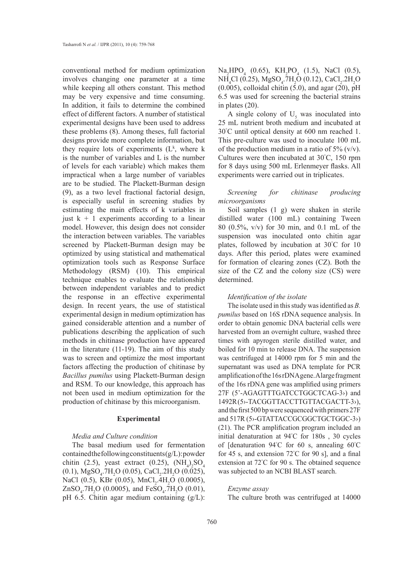conventional method for medium optimization involves changing one parameter at a time while keeping all others constant. This method may be very expensive and time consuming. In addition, it fails to determine the combined effect of different factors. A number of statistical experimental designs have been used to address these problems (8). Among theses, full factorial designs provide more complete information, but they require lots of experiments  $(L^k,$  where k is the number of variables and L is the number of levels for each variable) which makes them impractical when a large number of variables are to be studied. The Plackett-Burman design (9), as a two level fractional factorial design, is especially useful in screening studies by estimating the main effects of k variables in just  $k + 1$  experiments according to a linear model. However, this design does not consider the interaction between variables. The variables screened by Plackett-Burman design may be optimized by using statistical and mathematical optimization tools such as Response Surface Methodology (RSM) (10). This empirical technique enables to evaluate the relationship between independent variables and to predict the response in an effective experimental design. In recent years, the use of statistical experimental design in medium optimization has gained considerable attention and a number of publications describing the application of such methods in chitinase production have appeared in the literature (11-19). The aim of this study was to screen and optimize the most important factors affecting the production of chitinase by *Bacillus pumilus* using Plackett-Burman design and RSM. To our knowledge, this approach has not been used in medium optimization for the production of chitinase by this microorganism.

## **Experimental**

#### *Media and Culture condition*

The basal medium used for fermentation contained the following constituents  $(g/L)$ : powder chitin (2.5), yeast extract (0.25),  $(NH_4)_2SO_4$  $(0.1)$ , MgSO<sub>4</sub>.7H<sub>2</sub>O  $(0.05)$ , CaCl<sub>2</sub>.2H<sub>2</sub>O  $(0.025)$ , NaCl (0.5), KBr (0.05), MnCl<sub>2</sub>.4H<sub>2</sub>O (0.0005),  $ZnSO_4$ .7H<sub>2</sub>O (0.0005), and FeSO<sub>4</sub>.7H<sub>2</sub>O (0.01), pH 6.5. Chitin agar medium containing (g/L):

 $\text{Na}_2\text{HPO}_4$  (0.65),  $\text{KH}_2\text{PO}_4$  (1.5), NaCl (0.5),  $NH<sub>4</sub>Cl$  (0.25), MgSO<sub>4</sub>.7H<sub>2</sub>O (0.12), CaCl<sub>2</sub>.2H<sub>2</sub>O  $(0.005)$ , colloidal chitin  $(5.0)$ , and agar  $(20)$ , pH 6.5 was used for screening the bacterial strains in plates (20).

A single colony of  $U_5$  was inoculated into 25 mL nutrient broth medium and incubated at 30° C until optical density at 600 nm reached 1. This pre-culture was used to inoculate 100 mL of the production medium in a ratio of  $5\%$  (v/v). Cultures were then incubated at 30° C, 150 rpm for 8 days using 500 mL Erlenmeyer flasks. All experiments were carried out in triplicates.

# *Screening for chitinase producing microorganisms*

Soil samples (1 g) were shaken in sterile distilled water (100 mL) containing Tween 80 (0.5%, v/v) for 30 min, and 0.1 mL of the suspension was inoculated onto chitin agar plates, followed by incubation at 30° C for 10 days. After this period, plates were examined for formation of clearing zones (CZ). Both the size of the CZ and the colony size (CS) were determined.

## *Identification of the isolate*

The isolate used in this study was identified as *B. pumilus* based on 16S rDNA sequence analysis. In order to obtain genomic DNA bacterial cells were harvested from an overnight culture, washed three times with apyrogen sterile distilled water, and boiled for 10 min to release DNA. The suspension was centrifuged at 14000 rpm for 5 min and the supernatant was used as DNA template for PCR amplification of the 16s rDNA gene. A large fragment of the 16s rDNA gene was amplified using primers 27F (5'-AGAGTTTGATCCTGGCTCAG-3›) and 1492R (5›-TACGGTTACCTTGTTACGACTT-3›), and the first 500 bp were sequenced with primers 27F and 517R (5›-GTATTACCGCGGCTGCTGGC-3›) (21). The PCR amplification program included an initial denaturation at 94° C for 180s , 30 cycles of [denaturation 94° C for 60 s, annealing 60° C for 45 s, and extension 72° C for 90 s], and a final extension at 72° C for 90 s. The obtained sequence was subjected to an NCBI BLAST search.

#### *Enzyme assay*

The culture broth was centrifuged at 14000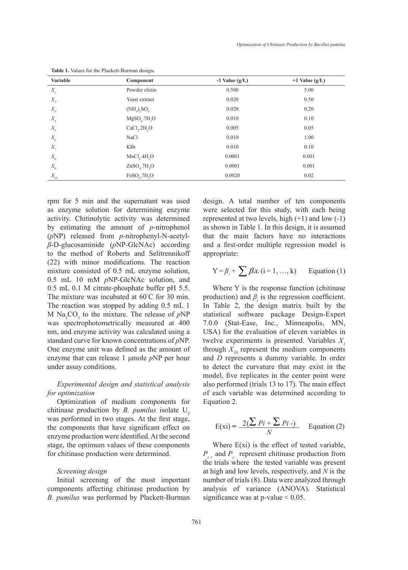| <b>Variable</b>             | Component                             | $-1$ Value (g/L) | $+1$ Value (g/L) |
|-----------------------------|---------------------------------------|------------------|------------------|
| $X_{I}$                     | Powder chitin                         | 0.500            | 5.00             |
| $X_{2}$                     | Yeast extract                         | 0.020            | 0.50             |
| $X_{\rm 3}$                 | $(NH_4)$ <sub>2</sub> SO <sub>4</sub> | 0.020            | 0.20             |
| $X_{\scriptscriptstyle 4}$  | $MgSOa$ .7H <sub>2</sub> O            | 0.010            | 0.10             |
| $X_{\scriptscriptstyle 5}$  | CaCl <sub>2</sub> .2H <sub>2</sub> O  | 0.005            | 0.05             |
| $X_{\boldsymbol{\delta}}$   | <b>NaCl</b>                           | 0.010            | 1.00             |
| $X_{7}$                     | KBr                                   | 0.010            | 0.10             |
| $X_{\boldsymbol{\delta}}$   | MnCl <sub>2</sub> .4H <sub>2</sub> O  | 0.0001           | 0.001            |
| $X_{\scriptscriptstyle g}$  | $ZnSOa$ .7H <sub>2</sub> O            | 0.0001           | 0.001            |
| $X_{\scriptscriptstyle I0}$ | $FeSO4$ .7H <sub>2</sub> O            | 0.0020           | 0.02             |

**Table 1.** Values for the Plackett-Burman design**.**

rpm for 5 min and the supernatant was used as enzyme solution for determining enzyme activity. Chitinolytic activity was determined by estimating the amount of *p*-nitrophenol (*p*NP) released from *p*-nitrophenyl-N-acetyl*β*-D-glucosaminide (*p*NP-GlcNAc) according to the method of Roberts and Selitrennikoff (22) with minor modifications. The reaction mixture consisted of 0.5 mL enzyme solution, 0.5 mL 10 mM *p*NP-GlcNAc solution, and 0.5 mL 0.1 M citrate-phosphate buffer pH 5.5. The mixture was incubated at 60° C for 30 min. The reaction was stopped by adding 0.5 mL 1 M  $\text{Na}_2\text{CO}_3$  to the mixture. The release of  $p\text{NP}$ was spectrophotometrically measured at 400 nm, and enzyme activity was calculated using a standard curve for known concentrations of *p*NP. One enzyme unit was defined as the amount of enzyme that can release 1 μmole *p*NP per hour under assay conditions.

# *Experimental design and statistical analysis for optimization*

Optimization of medium components for chitinase production by *B. pumilus* isolate  $U_5$ was performed in two stages. At the first stage, the components that have significant effect on enzyme production were identified. At the second stage, the optimum values of these components for chitinase production were determined.

## *Screening design*

Initial screening of the most important components affecting chitinase production by *B. pumilus* was performed by Plackett-Burman design. A total number of ten components were selected for this study, with each being represented at two levels, high  $(+1)$  and low  $(-1)$ as shown in Table 1. In this design, it is assumed that the main factors have no interactions and a first-order multiple regression model is appropriate:

$$
Y = \beta_{\circ} + \sum \beta x_{i} (i = 1, ..., k) \qquad \text{Equation (1)}
$$

Where Y is the response function (chitinase) production) and  $\beta$ <sup>*i*</sup> is the regression coefficient. In Table 2, the design matrix built by the statistical software package Design-Expert 7.0.0 (Stat-Ease, Inc., Minneapolis, MN, USA) for the evaluation of eleven variables in twelve experiments is presented. Variables  $X_i$ through  $X_{10}$  represent the medium components and *D* represents a dummy variable. In order to detect the curvature that may exist in the model, five replicates in the center point were also performed (trials 13 to 17). The main effect of each variable was determined according to Equation 2.

$$
E(xi) = \frac{2(\sum Pi + \sum Pi -)}{N}
$$
 Equation (2)

Where  $E(xi)$  is the effect of tested variable, *Pi +* and *Pi –* represent chitinase production from the trials where the tested variable was present at high and low levels, respectively, and *N* is the number of trials (8). Data were analyzed through analysis of variance (ANOVA). Statistical significance was at p-value  $\leq 0.05$ .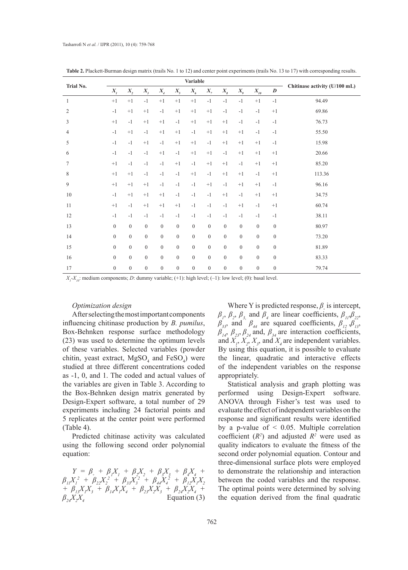| Trial No.      | <b>Variable</b> |                  |                  |                              |                  |                           |                  |                  | Chitinase activity (U/100 mL) |                  |                  |        |
|----------------|-----------------|------------------|------------------|------------------------------|------------------|---------------------------|------------------|------------------|-------------------------------|------------------|------------------|--------|
|                | $X_{I}$         | $X_{2}$          | $X_{3}$          | $X_{\!\scriptscriptstyle 4}$ | $X_{5}$          | $X_{\boldsymbol{\delta}}$ | $X_{7}$          | $X_{s}$          | $X_q$                         | $X_{10}$         | $\boldsymbol{D}$ |        |
| $\mathbf{1}$   | $+1$            | $+1$             | $-1$             | $+1$                         | $+1$             | $+1$                      | $-1$             | $-1$             | $-1$                          | $+1$             | $-1$             | 94.49  |
| $\overline{c}$ | $-1$            | $+1$             | $+1$             | $-1$                         | $+1$             | $+1$                      | $+1$             | $-1$             | $-1$                          | $-1$             | $+1$             | 69.86  |
| 3              | $+1$            | $-1$             | $+1$             | $+1$                         | $-1$             | $+1$                      | $+1$             | $+1$             | $-1$                          | $-1$             | $-1$             | 76.73  |
| 4              | $-1$            | $+1$             | $-1$             | $+1$                         | $+1$             | $-1$                      | $+1$             | $+1$             | $+1$                          | $-1$             | $-1$             | 55.50  |
| 5              | $-1$            | $-1$             | $+1$             | $-1$                         | $+1$             | $+1$                      | $-1$             | $+1$             | $+1$                          | $+1$             | $-1$             | 15.98  |
| 6              | $-1$            | $-1$             | $-1$             | $+1$                         | $-1$             | $+1$                      | $+1$             | $-1$             | $+1$                          | $+1$             | $+1$             | 20.66  |
| 7              | $+1$            | $-1$             | $-1$             | $-1$                         | $+1$             | $-1$                      | $+1$             | $+1$             | $-1$                          | $+1$             | $+1$             | 85.20  |
| 8              | $+1$            | $+1$             | $-1$             | $-1$                         | $-1$             | $+1$                      | $-1$             | $+1$             | $+1$                          | $-1$             | $+1$             | 113.36 |
| 9              | $+1$            | $+1$             | $+1$             | $-1$                         | $-1$             | $-1$                      | $+1$             | $-1$             | $+1$                          | $+1$             | $-1$             | 96.16  |
| 10             | $-1$            | $+1$             | $+1$             | $+1$                         | $-1$             | $-1$                      | $-1$             | $+1$             | $-1$                          | $+1$             | $+1$             | 34.75  |
| 11             | $+1$            | $-1$             | $+1$             | $+1$                         | $+1$             | $-1$                      | $-1$             | $-1$             | $+1$                          | $-1$             | $+1$             | 60.74  |
| 12             | $-1$            | $-1$             | $-1$             | $-1$                         | $-1$             | $-1$                      | $-1$             | $-1$             | $-1$                          | $-1$             | $-1$             | 38.11  |
| 13             | $\overline{0}$  | $\mathbf{0}$     | $\mathbf{0}$     | $\mathbf{0}$                 | $\overline{0}$   | $\boldsymbol{0}$          | $\boldsymbol{0}$ | $\boldsymbol{0}$ | $\boldsymbol{0}$              | $\mathbf{0}$     | $\mathbf{0}$     | 80.97  |
| 14             | $\overline{0}$  | $\mathbf{0}$     | $\mathbf{0}$     | $\mathbf{0}$                 | $\overline{0}$   | $\boldsymbol{0}$          | $\boldsymbol{0}$ | $\boldsymbol{0}$ | $\mathbf{0}$                  | $\overline{0}$   | $\mathbf{0}$     | 73.20  |
| 15             | $\theta$        | $\mathbf{0}$     | $\mathbf{0}$     | $\mathbf{0}$                 | $\overline{0}$   | $\boldsymbol{0}$          | $\boldsymbol{0}$ | $\boldsymbol{0}$ | $\boldsymbol{0}$              | $\overline{0}$   | $\mathbf{0}$     | 81.89  |
| 16             | $\overline{0}$  | $\mathbf{0}$     | $\mathbf{0}$     | $\mathbf{0}$                 | $\boldsymbol{0}$ | $\boldsymbol{0}$          | $\boldsymbol{0}$ | $\boldsymbol{0}$ | $\boldsymbol{0}$              | $\overline{0}$   | $\mathbf{0}$     | 83.33  |
| 17             | $\mathbf{0}$    | $\boldsymbol{0}$ | $\boldsymbol{0}$ | $\boldsymbol{0}$             | $\boldsymbol{0}$ | $\boldsymbol{0}$          | $\boldsymbol{0}$ | $\boldsymbol{0}$ | $\boldsymbol{0}$              | $\boldsymbol{0}$ | $\boldsymbol{0}$ | 79.74  |

**Table 2.** Plackett-Burman design matrix (trails No. 1 to 12) and center point experiments (trails No. 13 to 17) with corresponding results.

 $X_i - X_{10}$ : medium components; *D*: dummy variable; (+1): high level; (-1): low level; (0): basal level.

## *Optimization design*

After selecting the most important components influencing chitinase production by *B. pumilus*, Box-Behnken response surface methodology (23) was used to determine the optimum levels of these variables. Selected variables (powder chitin, yeast extract,  $MgSO_4$  and  $FeSO_4$ ) were studied at three different concentrations coded as -1, 0, and 1. The coded and actual values of the variables are given in Table 3. According to the Box-Behnken design matrix generated by Design-Expert software, a total number of 29 experiments including 24 factorial points and 5 replicates at the center point were performed (Table 4).

Predicted chitinase activity was calculated using the following second order polynomial equation:

*Y* =  $\beta$ , +  $\beta_1 X_1 + \beta_2 X_2 + \beta_3 X_3 + \beta_4 X_4 +$  $\beta_{11}X_1^2 + \beta_{22}X_2^2 + \beta_{33}X_3^2 + \beta_{44}X_4^2 + \beta_{12}X_1X_2$ *+*  $\beta_{13}X_1X_3 + \beta_{14}X_1X_4 + \beta_{23}X_2X_3 + \beta_{24}X_2X_4 +$  $\beta_{24} X_2 X_4$  Equation (3)

Where Y is predicted response, *β◦* is intercept,  $\beta$ <sub>*p*</sub>,  $\beta$ <sub>2</sub>,  $\beta$ <sub>3</sub>, and  $\beta$ <sub>4</sub> are linear coefficients,  $\beta$ <sub>*II</sub>*, $\beta$ <sub>22</sub>,</sub>  $\beta_{33}$ , and  $\beta_{44}$  are squared coefficients,  $\beta_{12}$ ,  $\beta_{13}$ ,  $\beta_{14}$ ,  $\beta_{23}$ ,  $\beta_{24}$  and,  $\beta_{34}$  are interaction coefficients, and  $X_1, X_2, X_3$ , and  $X_4$  are independent variables. By using this equation, it is possible to evaluate the linear, quadratic and interactive effects of the independent variables on the response appropriately.

Statistical analysis and graph plotting was performed using Design-Expert software. ANOVA through Fisher's test was used to evaluate the effect of independent variables on the response and significant results were identified by a p-value of  $\leq$  0.05. Multiple correlation coefficient  $(R^2)$  and adjusted  $R^2$  were used as quality indicators to evaluate the fitness of the second order polynomial equation. Contour and three-dimensional surface plots were employed to demonstrate the relationship and interaction between the coded variables and the response. The optimal points were determined by solving the equation derived from the final quadratic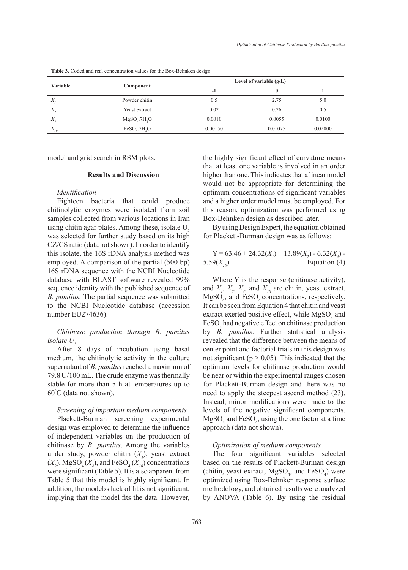| <b>Variable</b> | Component                  | Level of variable $(g/L)$ |         |         |  |  |  |
|-----------------|----------------------------|---------------------------|---------|---------|--|--|--|
|                 |                            | $-1$                      | 0       |         |  |  |  |
| X               | Powder chitin              | 0.5                       | 2.75    | 5.0     |  |  |  |
| $X_{\rm z}$     | Yeast extract              | 0.02                      | 0.26    | 0.5     |  |  |  |
| X               | $MgSO4$ .7H <sub>2</sub> O | 0.0010                    | 0.0055  | 0.0100  |  |  |  |
| $X_{10}$        | $FeSO4$ .7H <sub>2</sub> O | 0.00150                   | 0.01075 | 0.02000 |  |  |  |

**Table 3.** Coded and real concentration values for the Box-Behnken design.

model and grid search in RSM plots.

### **Results and Discussion**

#### *Identification*

Eighteen bacteria that could produce chitinolytic enzymes were isolated from soil samples collected from various locations in Iran using chitin agar plates. Among these, isolate  $U<sub>s</sub>$ was selected for further study based on its high CZ/CS ratio (data not shown). In order to identify this isolate, the 16S rDNA analysis method was employed. A comparison of the partial (500 bp) 16S rDNA sequence with the NCBI Nucleotide database with BLAST software revealed 99% sequence identity with the published sequence of *B. pumilus.* The partial sequence was submitted to the NCBI Nucleotide database (accession number EU274636).

## *Chitinase production through B. pumilus*   $i$ *solate*  $U<sub>s</sub>$

After 8 days of incubation using basal medium, the chitinolytic activity in the culture supernatant of *B. pumilus* reached a maximum of 79.8 U/100 mL. The crude enzyme was thermally stable for more than 5 h at temperatures up to 60° C (data not shown).

#### *Screening of important medium components*

Plackett-Burman screening experimental design was employed to determine the influence of independent variables on the production of chitinase by *B. pumilus*. Among the variables under study, powder chitin  $(X_i)$ , yeast extract  $(X_2)$ , MgSO<sub>4</sub> $(X_4)$ , and FeSO<sub>4</sub> $(X_{10})$  concentrations were significant (Table 5). It is also apparent from Table 5 that this model is highly significant. In addition, the model›s lack of fit is not significant, implying that the model fits the data. However,

the highly significant effect of curvature means that at least one variable is involved in an order higher than one. This indicates that a linear model would not be appropriate for determining the optimum concentrations of significant variables and a higher order model must be employed. For this reason, optimization was performed using Box-Behnken design as described later.

By using Design Expert, the equation obtained for Plackett-Burman design was as follows:

Y = 63.46 + 24.32(
$$
X_1
$$
) + 13.89( $X_2$ ) - 6.32( $X_4$ ) -  
5.59( $X_{10}$ ) Equation (4)

Where Y is the response (chitinase activity), and  $X_1$ ,  $X_2$ ,  $X_4$ , and  $X_{10}$  are chitin, yeast extract,  $MgSO<sub>4</sub>$ , and  $FeSO<sub>4</sub>$  concentrations, respectively. It can be seen from Equation 4 that chitin and yeast extract exerted positive effect, while  $MgSO_4$  and FeSO<sub>4</sub> had negative effect on chitinase production by *B. pumilus*. Further statistical analysis revealed that the difference between the means of center point and factorial trials in this design was not significant ( $p > 0.05$ ). This indicated that the optimum levels for chitinase production would be near or within the experimental ranges chosen for Plackett-Burman design and there was no need to apply the steepest ascend method (23). Instead, minor modifications were made to the levels of the negative significant components,  $MgSO_4$  and  $FeSO_4$ , using the one factor at a time approach (data not shown).

## *Optimization of medium components*

The four significant variables selected based on the results of Plackett-Burman design (chitin, yeast extract,  $MgSO_4$ , and  $FeSO_4$ ) were optimized using Box-Behnken response surface methodology, and obtained results were analyzed by ANOVA (Table 6). By using the residual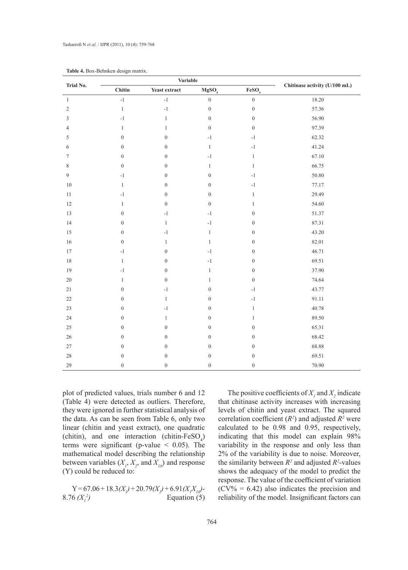|                |                  | <b>Variable</b>  |                          |                   |                               |
|----------------|------------------|------------------|--------------------------|-------------------|-------------------------------|
| Trial No.      | Chitin           | Yeast extract    | MgSO <sub>4</sub>        | FeSO <sub>4</sub> | Chitinase activity (U/100 mL) |
| $\mathbf{1}$   | $^{\rm -1}$      | $^{\rm -1}$      | $\boldsymbol{0}$         | $\boldsymbol{0}$  | 18.20                         |
| $\sqrt{2}$     | $\,1$            | $-1$             | $\boldsymbol{0}$         | $\boldsymbol{0}$  | 57.36                         |
| 3              | $-1$             | $\mathbf{1}$     | $\boldsymbol{0}$         | $\boldsymbol{0}$  | 56.90                         |
| $\overline{4}$ | $\mathbf{1}$     | $\mathbf{1}$     | $\boldsymbol{0}$         | $\boldsymbol{0}$  | 97.39                         |
| 5              | $\boldsymbol{0}$ | $\boldsymbol{0}$ | $^{\rm -1}$              | $-1$              | 62.32                         |
| 6              | $\boldsymbol{0}$ | $\boldsymbol{0}$ | $\mathbf{1}$             | $-1$              | 41.24                         |
| 7              | $\boldsymbol{0}$ | $\boldsymbol{0}$ | $-1$                     | $\,1$             | 67.10                         |
| $\,$ 8 $\,$    | $\boldsymbol{0}$ | $\boldsymbol{0}$ | $\mathbf{1}$             | $\,1$             | 66.75                         |
| 9              | $-1$             | $\boldsymbol{0}$ | $\boldsymbol{0}$         | $^{\rm -1}$       | 50.80                         |
| $10\,$         | $\mathbf{1}$     | $\boldsymbol{0}$ | $\boldsymbol{0}$         | $-1$              | 77.17                         |
| $11\,$         | $-1$             | $\boldsymbol{0}$ | $\boldsymbol{0}$         | $\mathbf{1}$      | 29.49                         |
| $12\,$         | $\mathbf{1}$     | $\boldsymbol{0}$ | $\boldsymbol{0}$         | $\mathbf{1}$      | 54.60                         |
| 13             | $\boldsymbol{0}$ | $^{\rm -1}$      | $-1$                     | $\boldsymbol{0}$  | 51.37                         |
| 14             | $\mathbf{0}$     | $\mathbf{1}$     | $-1$                     | $\boldsymbol{0}$  | 87.31                         |
| 15             | $\boldsymbol{0}$ | $-1$             | $\mathbf{1}$             | $\boldsymbol{0}$  | 43.20                         |
| $16\,$         | $\boldsymbol{0}$ | $\mathbf{1}$     | $\mathbf{1}$             | $\boldsymbol{0}$  | 82.01                         |
| $17\,$         | $-1$             | $\boldsymbol{0}$ | $^{\rm -1}$              | $\boldsymbol{0}$  | 46.71                         |
| $18\,$         | $\mathbf{1}$     | $\boldsymbol{0}$ | $^{\mbox{{\small{-1}}}}$ | $\boldsymbol{0}$  | 69.51                         |
| 19             | $-1$             | $\boldsymbol{0}$ | $\mathbf{1}$             | $\boldsymbol{0}$  | 37.90                         |
| $20\,$         | $\mathbf{1}$     | $\boldsymbol{0}$ | $\mathbf{1}$             | $\boldsymbol{0}$  | 74.64                         |
| $21\,$         | $\boldsymbol{0}$ | $^{\rm -1}$      | $\boldsymbol{0}$         | $^{\rm -1}$       | 43.77                         |
| $22\,$         | $\boldsymbol{0}$ | $\mathbf{1}$     | $\boldsymbol{0}$         | $^{\rm -1}$       | 91.11                         |
| 23             | $\boldsymbol{0}$ | $-1$             | $\boldsymbol{0}$         | $\,1$             | 40.78                         |
| 24             | $\boldsymbol{0}$ | $\mathbf{1}$     | $\boldsymbol{0}$         | $\mathbf{1}$      | 89.50                         |
| 25             | $\boldsymbol{0}$ | $\boldsymbol{0}$ | $\boldsymbol{0}$         | $\boldsymbol{0}$  | 65.31                         |
| $26\,$         | $\boldsymbol{0}$ | $\boldsymbol{0}$ | $\boldsymbol{0}$         | $\boldsymbol{0}$  | 68.42                         |
| $27\,$         | $\boldsymbol{0}$ | $\boldsymbol{0}$ | $\boldsymbol{0}$         | $\boldsymbol{0}$  | 68.88                         |
| 28             | $\boldsymbol{0}$ | $\boldsymbol{0}$ | $\boldsymbol{0}$         | $\boldsymbol{0}$  | 69.51                         |
| 29             | $\boldsymbol{0}$ | $\boldsymbol{0}$ | $\boldsymbol{0}$         | $\boldsymbol{0}$  | 70.90                         |

|  | Table 4. Box-Behnken design matrix. |  |  |
|--|-------------------------------------|--|--|
|--|-------------------------------------|--|--|

plot of predicted values, trials number 6 and 12 (Table 4) were detected as outliers. Therefore, they were ignored in further statistical analysis of the data. As can be seen from Table 6, only two linear (chitin and yeast extract), one quadratic (chitin), and one interaction (chitin- $FeSO_4$ ) terms were significant (p-value < 0.05). The mathematical model describing the relationship between variables  $(X_1, X_2, \text{ and } X_{10})$  and response (Y) could be reduced to:

 $Y = 67.06 + 18.3(X_i) + 20.79(X_i) + 6.91(X_iX_i)$ 8.76  $(X_i^2)$ *)* Equation (5)

The positive coefficients of  $X_i$  and  $X_2$  indicate that chitinase activity increases with increasing levels of chitin and yeast extract. The squared correlation coefficient  $(R^2)$  and adjusted  $R^2$  were calculated to be 0.98 and 0.95, respectively, indicating that this model can explain 98% variability in the response and only less than 2% of the variability is due to noise. Moreover, the similarity between  $R^2$  and adjusted  $R^2$ -values shows the adequacy of the model to predict the response. The value of the coefficient of variation  $(CV\% = 6.42)$  also indicates the precision and reliability of the model. Insignificant factors can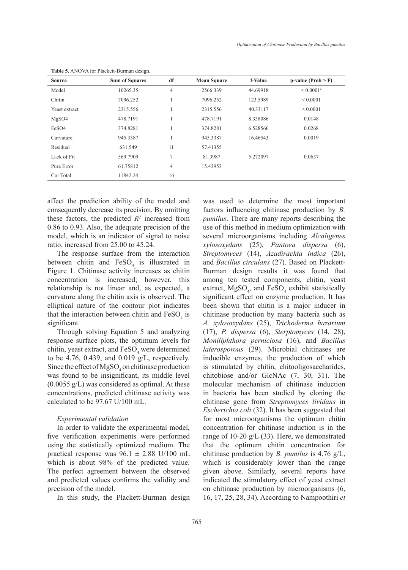| <b>Source</b> | <b>Sum of Squares</b> | df             | <b>Mean Square</b> | f-Value  | $p-value (Prob > F)$    |
|---------------|-----------------------|----------------|--------------------|----------|-------------------------|
| Model         | 10265.35              | 4              | 2566.339           | 44.69918 | $< 0.0001$ <sup>a</sup> |
| Chitin        | 7096.252              | л.             | 7096.252           | 123.5989 | ${}_{0.0001}$           |
| Yeast extract | 2315.556              | J.             | 2315.556           | 40.33117 | $\leq 0.0001$           |
| MgSO4         | 478.7191              |                | 478.7191           | 8.338086 | 0.0148                  |
| FeSO4         | 374.8281              |                | 374.8281           | 6.528566 | 0.0268                  |
| Curvature     | 945.3387              |                | 945.3387           | 16.46543 | 0.0019                  |
| Residual      | 631.549               | 11             | 57.41355           |          |                         |
| Lack of Fit   | 569.7909              | 7              | 81.3987            | 5.272097 | 0.0637                  |
| Pure Error    | 61.75812              | $\overline{4}$ | 15.43953           |          |                         |
| Cor Total     | 11842.24              | 16             |                    |          |                         |

**Table 5.** ANOVA for Plackett-Burman design.

affect the prediction ability of the model and consequently decrease its precision. By omitting these factors, the predicted  $R^2$  increased from 0.86 to 0.93. Also, the adequate precision of the model, which is an indicator of signal to noise ratio, increased from 25.00 to 45.24.

The response surface from the interaction between chitin and  $FeSO<sub>4</sub>$  is illustrated in Figure 1. Chitinase activity increases as chitin concentration is increased; however, this relationship is not linear and, as expected, a curvature along the chitin axis is observed. The elliptical nature of the contour plot indicates that the interaction between chitin and  $\text{FeSO}_4$  is significant.

Through solving Equation 5 and analyzing response surface plots, the optimum levels for chitin, yeast extract, and  $\text{FeSO}_4$  were determined to be 4.76, 0.439, and 0.019  $g/L$ , respectively. Since the effect of  $MgSO_4$  on chitinase production was found to be insignificant, its middle level  $(0.0055 \text{ g/L})$  was considered as optimal. At these concentrations, predicted chitinase activity was calculated to be 97.67 U/100 mL.

#### *Experimental validation*

In order to validate the experimental model, five verification experiments were performed using the statistically optimized medium. The practical response was  $96.1 \pm 2.88$  U/100 mL which is about 98% of the predicted value. The perfect agreement between the observed and predicted values confirms the validity and precision of the model.

In this study, the Plackett-Burman design

was used to determine the most important factors influencing chitinase production by *B. pumilus*. There are many reports describing the use of this method in medium optimization with several microorganisms including *Alcaligenes xylosoxydans* (25), *Pantoea dispersa* (6), *Streptomyces* (14), *Azadirachta indica* (26), and *Bacillus circulans* (27). Based on Plackett-Burman design results it was found that among ten tested components, chitin, yeast extract,  $MgSO_4$ , and  $FeSO_4$  exhibit statistically significant effect on enzyme production. It has been shown that chitin is a major inducer in chitinase production by many bacteria such as *A. xylosoxydans* (25), *Trichoderma hazarium* (17), *P. dispersa* (6), *Sterptomyces* (14, 28), *Moniliphthora perniciosa* (16), and *Bacillus laterosporous* (29). Microbial chitinases are inducible enzymes, the production of which is stimulated by chitin, chitooligosaccharides, chitobiose and/or GlcNAc (7, 30, 31). The molecular mechanism of chitinase induction in bacteria has been studied by cloning the chitinase gene from *Streptomyces lividans* in *Escherichia coli* (32). It has been suggested that for most microorganisms the optimum chitin concentration for chitinase induction is in the range of 10-20 g/L (33). Here, we demonstrated that the optimum chitin concentration for chitinase production by *B. pumilus* is 4.76 g/L, which is considerably lower than the range given above. Similarly, several reports have indicated the stimulatory effect of yeast extract on chitinase production by microorganisms (6, 16, 17, 25, 28, 34). According to Nampoothiri *et*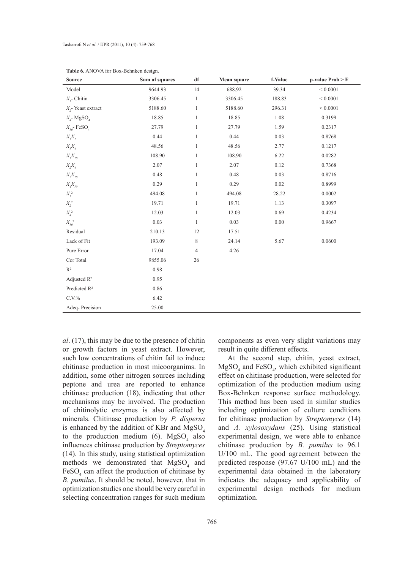| <b>Source</b>                                                       | Sum of squares | df             | Mean square | f-Value  | $p-value Prob > F$ |
|---------------------------------------------------------------------|----------------|----------------|-------------|----------|--------------------|
| Model                                                               | 9644.93        | 14             | 688.92      | 39.34    | ${}< 0.0001$       |
| $X_i$ - Chitin                                                      | 3306.45        | $\mathbf{1}$   | 3306.45     | 188.83   | ${}< 0.0001$       |
| $X$ <sub>2</sub> -Yeast extract                                     | 5188.60        | $\mathbf{1}$   | 5188.60     | 296.31   | ${}< 0.0001$       |
| $X_4$ - MgSO <sub>4</sub>                                           | 18.85          | $\mathbf{1}$   | 18.85       | 1.08     | 0.3199             |
| $X_{10}$ - FeSO <sub>4</sub>                                        | 27.79          | $\mathbf{1}$   | 27.79       | 1.59     | 0.2317             |
| $X_iX_2$                                                            | 0.44           | $\mathbf{1}$   | 0.44        | 0.03     | 0.8768             |
| $X_{\!\!f}^{\vphantom{1}} X_{\!\!f}^{\vphantom{1}}$                 | 48.56          | $\mathbf{1}$   | 48.56       | 2.77     | 0.1217             |
| $X_iX_{10}$                                                         | 108.90         | $\mathbf{1}$   | 108.90      | 6.22     | 0.0282             |
| $X_{\!\scriptscriptstyle 2}\!X_{\!\scriptscriptstyle 4}$            | 2.07           | $\mathbf{1}$   | 2.07        | 0.12     | 0.7368             |
| $X_{\!\scriptscriptstyle 2}^\mathcal{X}\!X_{\scriptscriptstyle I0}$ | 0.48           | $\mathbf{1}$   | 0.48        | 0.03     | 0.8716             |
| $X_{\!A\!Y_{I0}}$                                                   | 0.29           | $\mathbf{1}$   | 0.29        | $0.02\,$ | 0.8999             |
| $X^{\,2}_I$                                                         | 494.08         | $\mathbf{1}$   | 494.08      | 28.22    | 0.0002             |
| $X_2^2$                                                             | 19.71          | $\mathbf{1}$   | 19.71       | 1.13     | 0.3097             |
| $X_i^2$                                                             | 12.03          | $\mathbf{1}$   | 12.03       | 0.69     | 0.4234             |
| $X_{10}^2$                                                          | 0.03           | $\mathbf{1}$   | 0.03        | $0.00\,$ | 0.9667             |
| Residual                                                            | 210.13         | 12             | 17.51       |          |                    |
| Lack of Fit                                                         | 193.09         | 8              | 24.14       | 5.67     | 0.0600             |
| Pure Error                                                          | 17.04          | $\overline{4}$ | 4.26        |          |                    |
| Cor Total                                                           | 9855.06        | 26             |             |          |                    |
| $R^2$                                                               | 0.98           |                |             |          |                    |
| Adjusted $R^2$                                                      | 0.95           |                |             |          |                    |
| Predicted $R^2$                                                     | 0.86           |                |             |          |                    |
| C.V.%                                                               | 6.42           |                |             |          |                    |
| Adeq-Precision                                                      | 25.00          |                |             |          |                    |

**Table 6.** ANOVA for Box-Behnken design.

*al*. (17), this may be due to the presence of chitin or growth factors in yeast extract. However, such low concentrations of chitin fail to induce chitinase production in most micoorganims. In addition, some other nitrogen sources including peptone and urea are reported to enhance chitinase production (18), indicating that other mechanisms may be involved. The production of chitinolytic enzymes is also affected by minerals. Chitinase production by *P. dispersa* is enhanced by the addition of KBr and  $MgSO<sub>4</sub>$ to the production medium (6).  $MgSO<sub>4</sub>$  also influences chitinase production by *Streptomyces* (14). In this study, using statistical optimization methods we demonstrated that  $MgSO<sub>4</sub>$  and  $FeSO<sub>4</sub>$  can affect the production of chitinase by *B. pumilus*. It should be noted, however, that in optimization studies one should be very careful in selecting concentration ranges for such medium

components as even very slight variations may result in quite different effects.

At the second step, chitin, yeast extract,  $MgSO<sub>4</sub>$  and FeSO<sub>4</sub>, which exhibited significant effect on chitinase production, were selected for optimization of the production medium using Box-Behnken response surface methodology. This method has been used in similar studies including optimization of culture conditions for chitinase production by *Streptomyces* (14) and *A. xylosoxydans* (25). Using statistical experimental design, we were able to enhance chitinase production by *B. pumilus* to 96.1 U/100 mL. The good agreement between the predicted response (97.67 U/100 mL) and the experimental data obtained in the laboratory indicates the adequacy and applicability of experimental design methods for medium optimization.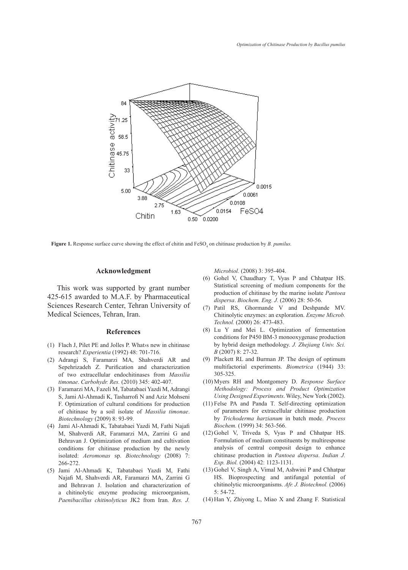

**Figure 1.** Response surface curve showing the effect of chitin and FeSO<sub>4</sub> on chitinase production by *B. pumilus.* 

#### **Acknowledgment**

This work was supported by grant number 425-615 awarded to M.A.F. by Pharmaceutical Sciences Research Center, Tehran University of Medical Sciences, Tehran, Iran.

#### **References**

- Flach J, Pilet PE and Jolles P. What›s new in chitinase (1) research? *Experientia* (1992) 48: 701-716.
- Adrangi S, Faramarzi MA, Shahverdi AR and (2) Sepehrizadeh Z. Purification and characterization of two extracellular endochitinases from *Massilia timonae*. *Carbohydr. Res.* (2010) 345: 402-407.
- Faramarzi MA, Fazeli M, Tabatabaei Yazdi M, Adrangi (3) S, Jami Al-Ahmadi K, Tasharrofi N and Aziz Mohseni F. Optimization of cultural conditions for production of chitinase by a soil isolate of *Massilia timonae*. *Biotechnology* (2009) 8: 93-99.
- Jami Al-Ahmadi K, Tabatabaei Yazdi M, Fathi Najafi (4) M, Shahverdi AR, Faramarzi MA, Zarrini G and Behravan J. Optimization of medium and cultivation conditions for chitinase production by the newly isolated: *Aeromonas* sp. *Biotechnology* (2008) 7: 266-272.
- (5) Jami Al-Ahmadi K, Tabatabaei Yazdi M, Fathi Najafi M, Shahverdi AR, Faramarzi MA, Zarrini G and Behravan J. Isolation and characterization of a chitinolytic enzyme producing microorganism, *Paenibacillus chitinolyticus* JK2 from Iran. *Res. J.*

*Microbiol.* (2008) 3: 395-404.

- Gohel V, Chaudhary T, Vyas P and Chhatpar HS. (6) Statistical screening of medium components for the production of chitinase by the marine isolate *Pantoea dispersa*. *Biochem. Eng. J.* (2006) 28: 50-56.
- Patil RS, Ghormande V and Deshpande MV. (7) Chitinolytic enzymes: an exploration. *Enzyme Microb. Technol.* (2000) 26: 473-483.
- Lu Y and Mei L. Optimization of fermentation (8) conditions for P450 BM-3 monooxygenase production by hybrid design methodology. *J. Zhejiang Univ. Sci. B* (2007) 8: 27-32.
- (9) Plackett RL and Burman JP. The design of optimum multifactorial experiments. *Biometrica* (1944) 33: 305-325.
- Myers RH and Montgomery D. *Response Surface*  (10) *Methodology: Process and Product Optimization Using Designed Experiments*. Wiley, New York (2002).
- (11) Felse PA and Panda T. Self-directing optimization of parameters for extracellular chitinase production by *Trichoderma harzianum* in batch mode. *Process Biochem.* (1999) 34: 563-566.
- $(12)$  Gohel V, Triveda S, Vyas P and Chhatpar HS. Formulation of medium constituents by multiresponse analysis of central composit design to enhance chitinase production in *Pantoea dispersa*. *Indian J. Exp. Biol.* (2004) 42: 1123-1131.
- (13) Gohel V, Singh A, Vimal M, Ashwini P and Chhatpar HS. Bioprospecting and antifungal potential of chitinolytic microorganisms. *Afr. J. Biotechnol.* (2006)  $5:54-72.$
- $(14)$  Han Y, Zhiyong L, Miao X and Zhang F. Statistical